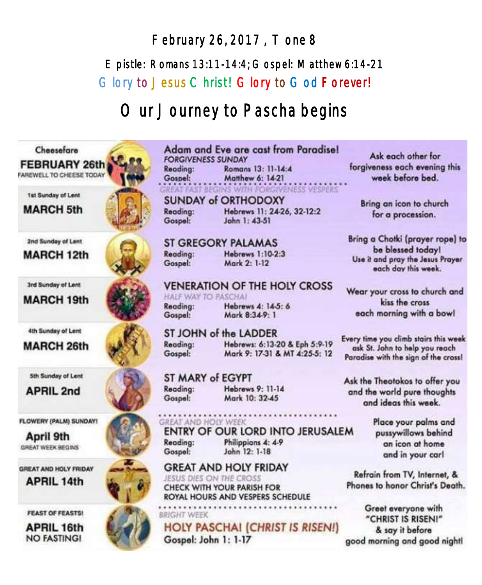# February 26, 2017 , Tone 8 Epistle: Romans 13:11-14:4; Gospel: Matthew 6:14-21 Glory to Jesus Christ! Glory to God Forever!

# Our Journey to Pascha begins



#### Adam and Eve are cast from Paradisel **FORGIVENESS SUNDAY** Romans 13: 11-14:4 Reading: Gospel: Matthew 6: 14-21 **REAT FAST BI EGINS WITH FORGIVENESS VESPERS**

**SUNDAY of ORTHODOXY** Reading: Hebrews 11: 24-26, 32-12:2 John 1: 43-51 Gospel:

# **ST GREGORY PALAMAS**

Reading: **Hebrews 1:10-2:3** Mark 2: 1-12 Gospel:

#### **VENERATION OF THE HOLY CROSS** HALF WAY TO PASCHAL

Reading: Gospel:

Hebrews 4: 14-5: 6 Mark 8:34-9: 1

# ST JOHN of the LADDER

Reading: Gospel:

Hebrews: 6:13-20 & Eph 5:9-19 Mark 9: 17-31 & MT 4:25-5: 12

ST MARY of EGYPT Reading: Gospel:

Hebrews 9: 11-14 Mark 10: 32-45

#### **GREAT AND HOLY WEEK** ENTRY OF OUR LORD INTO JERUSALEM

Reading: Gospel:

Philippians 4: 4-9 John 12: 1-18

**GREAT AND HOLY FRIDAY** JESUS DIES ON THE CROSS **CHECK WITH YOUR PARISH FOR** 

ROYAL HOURS AND VESPERS SCHEDULE

**BRIGHT WEEK** 

**HOLY PASCHAI (CHRIST IS RISEN!)** 

Gospel: John 1: 1-17

Ask each other for forgiveness each evening this week before bed.

Bring an icon to church for a procession.

Bring a Chotki (prayer rope) to be blessed today! Use it and pray the Jesus Prayer each day this week.

Wear your cross to church and kiss the cross each morning with a bowl

Every time you climb stairs this week ask St. John to help you reach Paradise with the sign of the cross!

Ask the Theotokos to offer you and the world pure thoughts and ideas this week.

> Place your palms and pussywillows behind an icon at home and in your carl

Refrain from TV, Internet, & Phones to honor Christ's Death.

Greet everyone with "CHRIST IS RISENI" & say it before good morning and good nightl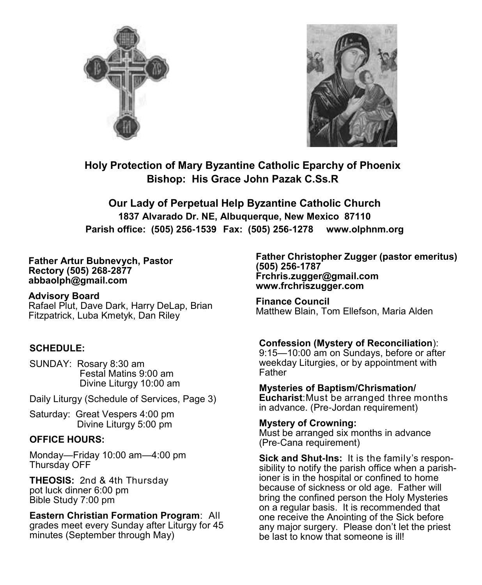



**Holy Protection of Mary Byzantine Catholic Eparchy of Phoenix Bishop: His Grace John Pazak C.Ss.R**

**Our Lady of Perpetual Help Byzantine Catholic Church 1837 Alvarado Dr. NE, Albuquerque, New Mexico 87110 Parish office: (505) 256-1539 Fax: (505) 256-1278 www.olphnm.org**

#### **Father Artur Bubnevych, Pastor Rectory (505) 268-2877 abbaolph@gmail.com**

**Advisory Board** 

Rafael Plut, Dave Dark, Harry DeLap, Brian Fitzpatrick, Luba Kmetyk, Dan Riley

## **SCHEDULE:**

SUNDAY: Rosary 8:30 am Festal Matins 9:00 am Divine Liturgy 10:00 am

Daily Liturgy (Schedule of Services, Page 3)

Saturday: Great Vespers 4:00 pm Divine Liturgy 5:00 pm

## **OFFICE HOURS:**

Monday—Friday 10:00 am—4:00 pm Thursday OFF

**THEOSIS:** 2nd & 4th Thursday pot luck dinner 6:00 pm Bible Study 7:00 pm

**Eastern Christian Formation Program**: All grades meet every Sunday after Liturgy for 45 minutes (September through May)

**Father Christopher Zugger (pastor emeritus) (505) 256-1787 Frchris.zugger@gmail.com www.frchriszugger.com** 

**Finance Council**  Matthew Blain, Tom Ellefson, Maria Alden

## **Confession (Mystery of Reconciliation**):

9:15—10:00 am on Sundays, before or after weekday Liturgies, or by appointment with **Father** 

**Mysteries of Baptism/Chrismation/ Eucharist**:Must be arranged three months in advance. (Pre-Jordan requirement)

## **Mystery of Crowning:**

Must be arranged six months in advance (Pre-Cana requirement)

**Sick and Shut-Ins:** It is the family's responsibility to notify the parish office when a parishioner is in the hospital or confined to home because of sickness or old age. Father will bring the confined person the Holy Mysteries on a regular basis. It is recommended that one receive the Anointing of the Sick before any major surgery. Please don't let the priest be last to know that someone is ill!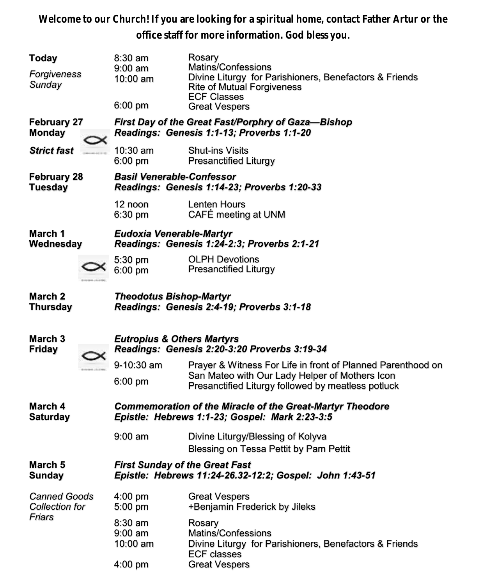**Welcome to our Church! If you are looking for a spiritual home, contact Father Artur or the office staff for more information. God bless you.**

| Today                                                     |                                                                             | $8:30$ am<br>9:00 am                                                                                               | Rosary<br>Matins/Confessions                                                                                                                                        |  |  |
|-----------------------------------------------------------|-----------------------------------------------------------------------------|--------------------------------------------------------------------------------------------------------------------|---------------------------------------------------------------------------------------------------------------------------------------------------------------------|--|--|
| Forgiveness<br>Sunday                                     |                                                                             | $10:00$ am                                                                                                         | Divine Liturgy for Parishioners, Benefactors & Friends<br><b>Rite of Mutual Forgiveness</b><br><b>ECF Classes</b>                                                   |  |  |
|                                                           |                                                                             | $6:00$ pm                                                                                                          | <b>Great Vespers</b>                                                                                                                                                |  |  |
| <b>February 27</b><br><b>Monday</b><br><b>Strict fast</b> |                                                                             | First Day of the Great Fast/Porphry of Gaza-Bishop<br>Readings: Genesis 1:1-13; Proverbs 1:1-20                    |                                                                                                                                                                     |  |  |
|                                                           |                                                                             | $10:30$ am<br>$6:00$ pm                                                                                            | <b>Shut-ins Visits</b><br><b>Presanctified Liturgy</b>                                                                                                              |  |  |
| <b>February 28</b><br><b>Tuesday</b>                      |                                                                             | <b>Basil Venerable-Confessor</b><br>Readings: Genesis 1:14-23; Proverbs 1:20-33                                    |                                                                                                                                                                     |  |  |
|                                                           |                                                                             | 12 noon<br>6:30 pm                                                                                                 | Lenten Hours<br>CAFÉ meeting at UNM                                                                                                                                 |  |  |
| March 1<br>Wednesday                                      |                                                                             | Eudoxia Venerable-Martyr<br>Readings: Genesis 1:24-2:3; Proverbs 2:1-21                                            |                                                                                                                                                                     |  |  |
|                                                           |                                                                             | 5:30 pm<br>$6:00$ pm                                                                                               | <b>OLPH Devotions</b><br><b>Presanctified Liturgy</b>                                                                                                               |  |  |
| March 2<br><b>Thursday</b>                                | <b>Theodotus Bishop-Martyr</b><br>Readings: Genesis 2:4-19; Proverbs 3:1-18 |                                                                                                                    |                                                                                                                                                                     |  |  |
| March <sub>3</sub><br><b>Friday</b>                       |                                                                             | <b>Eutropius &amp; Others Martyrs</b><br>Readings: Genesis 2:20-3:20 Proverbs 3:19-34                              |                                                                                                                                                                     |  |  |
|                                                           |                                                                             | 9-10:30 am<br>6:00 pm                                                                                              | Prayer & Witness For Life in front of Planned Parenthood on<br>San Mateo with Our Lady Helper of Mothers Icon<br>Presanctified Liturgy followed by meatless potluck |  |  |
| March 4<br><b>Saturday</b>                                |                                                                             | <b>Commemoration of the Miracle of the Great-Martyr Theodore</b><br>Epistle: Hebrews 1:1-23; Gospel: Mark 2:23-3:5 |                                                                                                                                                                     |  |  |
|                                                           |                                                                             |                                                                                                                    |                                                                                                                                                                     |  |  |
|                                                           |                                                                             | $9:00$ am                                                                                                          | Divine Liturgy/Blessing of Kolyva<br>Blessing on Tessa Pettit by Pam Pettit                                                                                         |  |  |
| March <sub>5</sub><br><b>Sunday</b>                       |                                                                             | <b>First Sunday of the Great Fast</b>                                                                              | Epistle: Hebrews 11:24-26.32-12:2; Gospel: John 1:43-51                                                                                                             |  |  |
| <b>Canned Goods</b><br>Collection for                     |                                                                             | 4:00 pm<br>5:00 pm                                                                                                 | <b>Great Vespers</b><br>+Benjamin Frederick by Jileks                                                                                                               |  |  |
| Friars                                                    |                                                                             | $8:30$ am<br>$9:00$ am<br>10:00 am                                                                                 | Rosary<br>Matins/Confessions<br>Divine Liturgy for Parishioners, Benefactors & Friends<br><b>ECF classes</b>                                                        |  |  |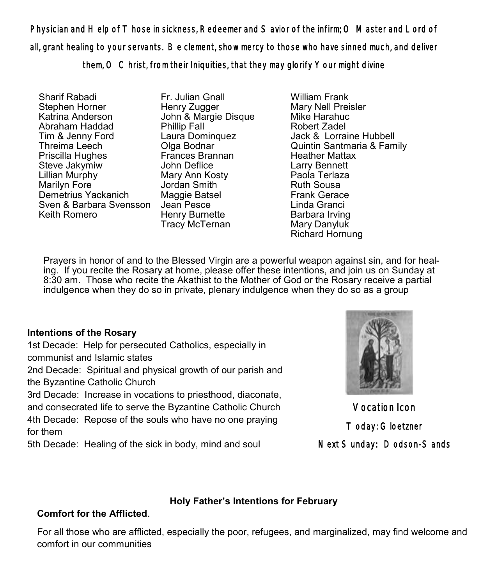Physician and Help of Those in sickness, Redeemer and Savior of the infirm; O Master and Lord of all, grant healing to your servants. Be clement, show mercy to those who have sinned much, and deliver them, O Christ, from their Iniquities, that they may glorify Your might divine

Sharif Rabadi Stephen Horner Katrina Anderson Abraham Haddad Tim & Jenny Ford Threima Leech Priscilla Hughes Steve Jakymiw Lillian Murphy Marilyn Fore Demetrius Yackanich Sven & Barbara Svensson Keith Romero

Fr. Julian Gnall Henry Zugger John & Margie Disque Phillip Fall Laura Dominquez Olga Bodnar Frances Brannan John Deflice Mary Ann Kosty Jordan Smith Maggie Batsel Jean Pesce Henry Burnette Tracy McTernan

William Frank Mary Nell Preisler Mike Harahuc Robert Zadel Jack & Lorraine Hubbell Quintin Santmaria & Family Heather Mattax Larry Bennett Paola Terlaza Ruth Sousa Frank Gerace Linda Granci Barbara Irving Mary Danyluk Richard Hornung

 ing. If you recite the Rosary at home, please offer these intentions, and join us on Sunday at Prayers in honor of and to the Blessed Virgin are a powerful weapon against sin, and for heal-8:30 am. Those who recite the Akathist to the Mother of God or the Rosary receive a partial indulgence when they do so in private, plenary indulgence when they do so as a group

## **Intentions of the Rosary**

1st Decade: Help for persecuted Catholics, especially in communist and Islamic states

2nd Decade: Spiritual and physical growth of our parish and the Byzantine Catholic Church

3rd Decade: Increase in vocations to priesthood, diaconate, and consecrated life to serve the Byzantine Catholic Church 4th Decade: Repose of the souls who have no one praying for them

5th Decade: Healing of the sick in body, mind and soul



Vocation Icon Today: Gloetzner Next Sunday: Dodson-Sands

# **Holy Father's Intentions for February**

# **Comfort for the Afflicted**.

For all those who are afflicted, especially the poor, refugees, and marginalized, may find welcome and comfort in our communities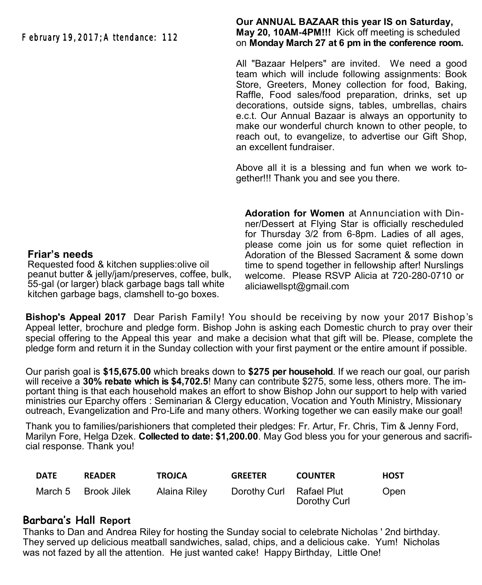# February 19, 2017; Attendance: 112

#### **Our ANNUAL BAZAAR this year IS on Saturday, May 20, 10AM-4PM!!!** Kick off meeting is scheduled on **Monday March 27 at 6 pm in the conference room.**

All "Bazaar Helpers" are invited. We need a good team which will include following assignments: Book Store, Greeters, Money collection for food, Baking, Raffle, Food sales/food preparation, drinks, set up decorations, outside signs, tables, umbrellas, chairs e.c.t. Our Annual Bazaar is always an opportunity to make our wonderful church known to other people, to reach out, to evangelize, to advertise our Gift Shop, an excellent fundraiser.

Above all it is a blessing and fun when we work together!!! Thank you and see you there.

**Adoration for Women** at Annunciation with Dinner/Dessert at Flying Star is officially rescheduled for Thursday 3/2 from 6-8pm. Ladies of all ages, please come join us for some quiet reflection in Adoration of the Blessed Sacrament & some down time to spend together in fellowship after! Nurslings welcome. Please RSVP Alicia at 720-280-0710 or aliciawellspt@gmail.com

**Bishop's Appeal 2017** Dear Parish Family! You should be receiving by now your 2017 Bishop's Appeal letter, brochure and pledge form. Bishop John is asking each Domestic church to pray over their special offering to the Appeal this year and make a decision what that gift will be. Please, complete the pledge form and return it in the Sunday collection with your first payment or the entire amount if possible.

Our parish goal is **\$15,675.00** which breaks down to **\$275 per household**. If we reach our goal, our parish will receive a 30% rebate which is \$4,702.5! Many can contribute \$275, some less, others more. The important thing is that each household makes an effort to show Bishop John our support to help with varied ministries our Eparchy offers : Seminarian & Clergy education, Vocation and Youth Ministry, Missionary outreach, Evangelization and Pro-Life and many others. Working together we can easily make our goal!

Thank you to families/parishioners that completed their pledges: Fr. Artur, Fr. Chris, Tim & Jenny Ford, Marilyn Fore, Helga Dzek. **Collected to date: \$1,200.00**. May God bless you for your generous and sacrificial response. Thank you!

| <b>DATE</b> | <b>READER</b>       | <b>TROJCA</b> | <b>GREETER</b>           | <b>COUNTER</b> | <b>HOST</b> |
|-------------|---------------------|---------------|--------------------------|----------------|-------------|
|             | March 5 Brook Jilek | Alaina Riley  | Dorothy Curl Rafael Plut | Dorothy Curl   | Open        |

# **Barbara's Hall Report**

Thanks to Dan and Andrea Riley for hosting the Sunday social to celebrate Nicholas ' 2nd birthday. They served up delicious meatball sandwiches, salad, chips, and a delicious cake. Yum! Nicholas was not fazed by all the attention. He just wanted cake! Happy Birthday, Little One!

#### **Friar's needs**

Requested food & kitchen supplies:olive oil peanut butter & jelly/jam/preserves, coffee, bulk, 55-gal (or larger) black garbage bags tall white kitchen garbage bags, clamshell to-go boxes.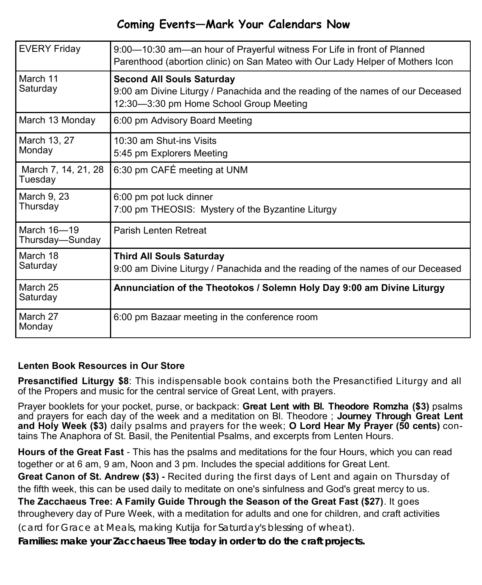# **Coming Events—Mark Your Calendars Now**

| <b>EVERY Friday</b>            | 9:00-10:30 am-an hour of Prayerful witness For Life in front of Planned<br>Parenthood (abortion clinic) on San Mateo with Our Lady Helper of Mothers Icon      |  |  |
|--------------------------------|----------------------------------------------------------------------------------------------------------------------------------------------------------------|--|--|
| March 11<br>Saturday           | <b>Second All Souls Saturday</b><br>9:00 am Divine Liturgy / Panachida and the reading of the names of our Deceased<br>12:30-3:30 pm Home School Group Meeting |  |  |
| March 13 Monday                | 6:00 pm Advisory Board Meeting                                                                                                                                 |  |  |
| March 13, 27<br>Monday         | 10:30 am Shut-ins Visits<br>5:45 pm Explorers Meeting                                                                                                          |  |  |
| March 7, 14, 21, 28<br>Tuesday | 6:30 pm CAFÉ meeting at UNM                                                                                                                                    |  |  |
| March 9, 23<br>Thursday        | 6:00 pm pot luck dinner<br>7:00 pm THEOSIS: Mystery of the Byzantine Liturgy                                                                                   |  |  |
| March 16-19<br>Thursday—Sunday | <b>Parish Lenten Retreat</b>                                                                                                                                   |  |  |
| March 18<br>Saturday           | <b>Third All Souls Saturday</b><br>9:00 am Divine Liturgy / Panachida and the reading of the names of our Deceased                                             |  |  |
| March 25<br>Saturday           | Annunciation of the Theotokos / Solemn Holy Day 9:00 am Divine Liturgy                                                                                         |  |  |
| March 27<br>Monday             | 6:00 pm Bazaar meeting in the conference room                                                                                                                  |  |  |

# **Lenten Book Resources in Our Store**

**Presanctified Liturgy \$8**: This indispensable book contains both the Presanctified Liturgy and all of the Propers and music for the central service of Great Lent, with prayers.

Prayer booklets for your pocket, purse, or backpack: **Great Lent with Bl. Theodore Romzha (\$3)** psalms and prayers for each day of the week and a meditation on Bl. Theodore ; **Journey Through Great Lent and Holy Week (\$3)** daily psalms and prayers for the week; **O Lord Hear My Prayer (50 cents)** contains The Anaphora of St. Basil, the Penitential Psalms, and excerpts from Lenten Hours.

**Hours of the Great Fast** - This has the psalms and meditations for the four Hours, which you can read together or at 6 am, 9 am, Noon and 3 pm. Includes the special additions for Great Lent.

**Great Canon of St. Andrew (\$3) -** Recited during the first days of Lent and again on Thursday of the fifth week, this can be used daily to meditate on one's sinfulness and God's great mercy to us.

**The Zacchaeus Tree: A Family Guide Through the Season of the Great Fast (\$27)**. It goes throughevery day of Pure Week, with a meditation for adults and one for children, and craft activities (card for Grace at Meals, making Kutija for Saturday's blessing of wheat).

*Families: make your Zacchaeus Tree today in order to do the craft projects.*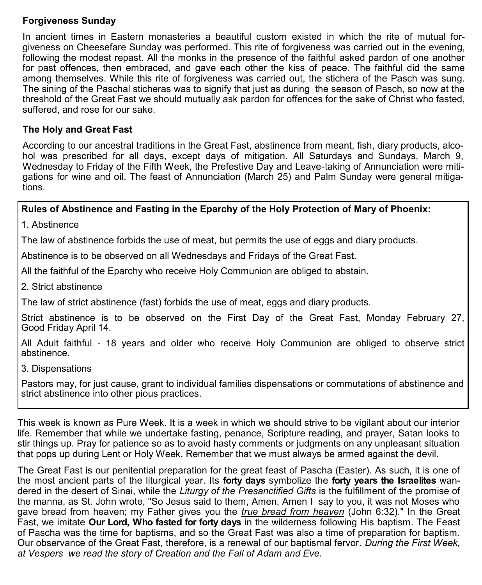## **Forgiveness Sunday**

In ancient times in Eastern monasteries a beautiful custom existed in which the rite of mutual forgiveness on Cheesefare Sunday was performed. This rite of forgiveness was carried out in the evening, following the modest repast. All the monks in the presence of the faithful asked pardon of one another for past offences, then embraced, and gave each other the kiss of peace. The faithful did the same among themselves. While this rite of forgiveness was carried out, the stichera of the Pasch was sung. The sining of the Paschal sticheras was to signify that just as during the season of Pasch, so now at the threshold of the Great Fast we should mutually ask pardon for offences for the sake of Christ who fasted, suffered, and rose for our sake.

# **The Holy and Great Fast**

According to our ancestral traditions in the Great Fast, abstinence from meant, fish, diary products, alcohol was prescribed for all days, except days of mitigation. All Saturdays and Sundays, March 9, Wednesday to Friday of the Fifth Week, the Prefestive Day and Leave-taking of Annunciation were mitigations for wine and oil. The feast of Annunciation (March 25) and Palm Sunday were general mitigations.

# **Rules of Abstinence and Fasting in the Eparchy of the Holy Protection of Mary of Phoenix:**

1. Abstinence

The law of abstinence forbids the use of meat, but permits the use of eggs and diary products.

Abstinence is to be observed on all Wednesdays and Fridays of the Great Fast.

All the faithful of the Eparchy who receive Holy Communion are obliged to abstain.

2. Strict abstinence

The law of strict abstinence (fast) forbids the use of meat, eggs and diary products.

Strict abstinence is to be observed on the First Day of the Great Fast, Monday February 27, Good Friday April 14.

All Adult faithful - 18 years and older who receive Holy Communion are obliged to observe strict abstinence.

3. Dispensations

Pastors may, for just cause, grant to individual families dispensations or commutations of abstinence and strict abstinence into other pious practices.

This week is known as Pure Week. It is a week in which we should strive to be vigilant about our interior life. Remember that while we undertake fasting, penance, Scripture reading, and prayer, Satan looks to stir things up. Pray for patience so as to avoid hasty comments or judgments on any unpleasant situation that pops up during Lent or Holy Week. Remember that we must always be armed against the devil.

The Great Fast is our penitential preparation for the great feast of Pascha (Easter). As such, it is one of the most ancient parts of the liturgical year. Its **forty days** symbolize the **forty years the Israelites** wandered in the desert of Sinai, while the *Liturgy of the Presanctified Gifts* is the fulfillment of the promise of the manna, as St. John wrote, "So Jesus said to them, Amen, Amen I say to you, it was not Moses who gave bread from heaven; my Father gives you the *true bread from heaven* (John 6:32)." In the Great Fast, we imitate **Our Lord, Who fasted for forty days** in the wilderness following His baptism. The Feast of Pascha was the time for baptisms, and so the Great Fast was also a time of preparation for baptism. Our observance of the Great Fast, therefore, is a renewal of our baptismal fervor. *During the First Week, at Vespers we read the story of Creation and the Fall of Adam and Eve.*